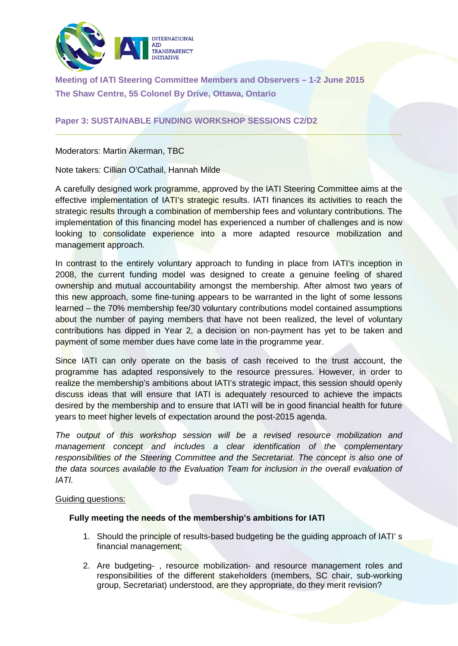

**Meeting of IATI Steering Committee Members and Observers – 1-2 June 2015 The Shaw Centre, 55 Colonel By Drive, Ottawa, Ontario**

## **Paper 3: SUSTAINABLE FUNDING WORKSHOP SESSIONS C2/D2**

Moderators: Martin Akerman, TBC

Note takers: Cillian O'Cathail, Hannah Milde

A carefully designed work programme, approved by the IATI Steering Committee aims at the effective implementation of IATI's strategic results. IATI finances its activities to reach the strategic results through a combination of membership fees and voluntary contributions. The implementation of this financing model has experienced a number of challenges and is now looking to consolidate experience into a more adapted resource mobilization and management approach.

In contrast to the entirely voluntary approach to funding in place from IATI's inception in 2008, the current funding model was designed to create a genuine feeling of shared ownership and mutual accountability amongst the membership. After almost two years of this new approach, some fine-tuning appears to be warranted in the light of some lessons learned – the 70% membership fee/30 voluntary contributions model contained assumptions about the number of paying members that have not been realized, the level of voluntary contributions has dipped in Year 2, a decision on non-payment has yet to be taken and payment of some member dues have come late in the programme year.

Since IATI can only operate on the basis of cash received to the trust account, the programme has adapted responsively to the resource pressures. However, in order to realize the membership's ambitions about IATI's strategic impact, this session should openly discuss ideas that will ensure that IATI is adequately resourced to achieve the impacts desired by the membership and to ensure that IATI will be in good financial health for future years to meet higher levels of expectation around the post-2015 agenda.

*The output of this workshop session will be a revised resource mobilization and management concept and includes a clear identification of the complementary responsibilities of the Steering Committee and the Secretariat. The concept is also one of the data sources available to the Evaluation Team for inclusion in the overall evaluation of IATI.* 

## Guiding questions:

## **Fully meeting the needs of the membership's ambitions for IATI**

- 1. Should the principle of results-based budgeting be the guiding approach of IATI' s financial management;
- 2. Are budgeting- , resource mobilization- and resource management roles and responsibilities of the different stakeholders (members, SC chair, sub-working group, Secretariat) understood, are they appropriate, do they merit revision?